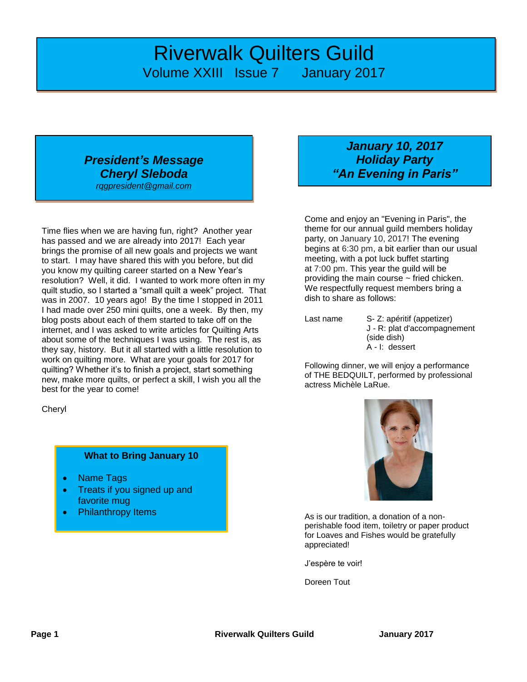## *Riverwalk Quilters Guild* Volume XXIII Issue 7 January 2017

#### *President's Message Cheryl Sleboda [rqgpresident@gmail.com](mailto:rqgpresident@gmail.com)*

Time flies when we are having fun, right? Another year has passed and we are already into 2017! Each year brings the promise of all new goals and projects we want to start. I may have shared this with you before, but did you know my quilting career started on a New Year's resolution? Well, it did. I wanted to work more often in my quilt studio, so I started a "small quilt a week" project. That was in 2007. 10 years ago! By the time I stopped in 2011 I had made over 250 mini quilts, one a week. By then, my blog posts about each of them started to take off on the internet, and I was asked to write articles for Quilting Arts about some of the techniques I was using. The rest is, as they say, history. But it all started with a little resolution to work on quilting more. What are your goals for 2017 for quilting? Whether it's to finish a project, start something new, make more quilts, or perfect a skill, I wish you all the best for the year to come!

**Chervl** 

#### **What to Bring January 10**

- Name Tags
- Treats if you signed up and favorite mug
- Philanthropy Items

## *January 10, 2017 Holiday Party "An Evening in Paris"*

Come and enjoy an "Evening in Paris", the theme for our annual guild members holiday party, on January 10, 2017! The evening begins at 6:30 pm, a bit earlier than our usual meeting, with a pot luck buffet starting at 7:00 pm. This year the guild will be providing the main course  $\sim$  fried chicken. We respectfully request members bring a dish to share as follows:

Last name S- Z: apéritif (appetizer) J - R: plat d'accompagnement (side dish) A - I: dessert

Following dinner, we will enjoy a performance of THE BEDQUILT, performed by professional actress Michèle LaRue.



As is our tradition, a donation of a nonperishable food item, toiletry or paper product for Loaves and Fishes would be gratefully appreciated!

J'espère te voir!

Doreen Tout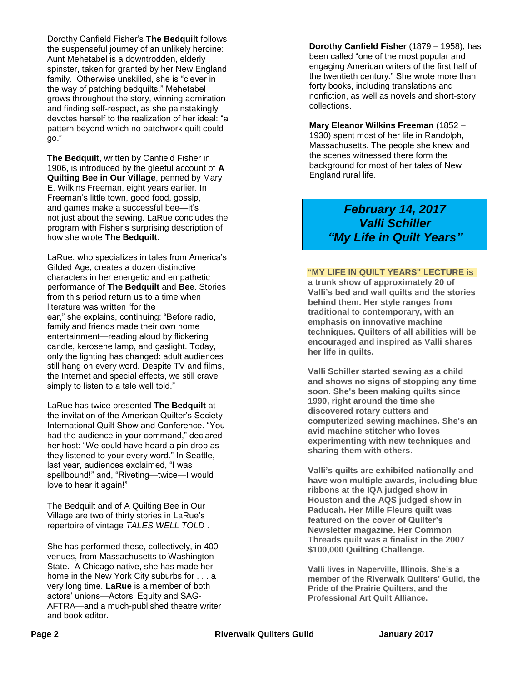Dorothy Canfield Fisher's **The Bedquilt** follows the suspenseful journey of an unlikely heroine: Aunt Mehetabel is a downtrodden, elderly spinster, taken for granted by her New England family. Otherwise unskilled, she is "clever in the way of patching bedquilts." Mehetabel grows throughout the story, winning admiration and finding self-respect, as she painstakingly devotes herself to the realization of her ideal: "a pattern beyond which no patchwork quilt could go."

**The Bedquilt**, written by Canfield Fisher in 1906, is introduced by the gleeful account of **A Quilting Bee in Our Village**, penned by Mary E. Wilkins Freeman, eight years earlier. In Freeman's little town, good food, gossip, and games make a successful bee—it's not just about the sewing. LaRue concludes the program with Fisher's surprising description of how she wrote **The Bedquilt.**

LaRue, who specializes in tales from America's Gilded Age, creates a dozen distinctive characters in her energetic and empathetic performance of **The Bedquilt** and **Bee**. Stories from this period return us to a time when literature was written "for the ear," she explains, continuing: "Before radio, family and friends made their own home entertainment—reading aloud by flickering candle, kerosene lamp, and gaslight. Today, only the lighting has changed: adult audiences still hang on every word. Despite TV and films, the Internet and special effects, we still crave simply to listen to a tale well told."

LaRue has twice presented **The Bedquilt** at the invitation of the American Quilter's Society International Quilt Show and Conference. "You had the audience in your command," declared her host: "We could have heard a pin drop as they listened to your every word." In Seattle, last year, audiences exclaimed, "I was spellbound!" and, "Riveting—twice—I would love to hear it again!"

The Bedquilt and of A Quilting Bee in Our Village are two of thirty stories in LaRue's repertoire of vintage *TALES WELL TOLD* .

She has performed these, collectively, in 400 venues, from Massachusetts to Washington State. A Chicago native, she has made her home in the New York City suburbs for . . . a very long time. **LaRue** is a member of both actors' unions—Actors' Equity and SAG-AFTRA—and a much-published theatre writer and book editor.

**Dorothy Canfield Fisher** (1879 – 1958), has been called "one of the most popular and engaging American writers of the first half of the twentieth century." She wrote more than forty books, including translations and nonfiction, as well as novels and short-story collections.

**Mary Eleanor Wilkins Freeman** (1852 – 1930) spent most of her life in Randolph, Massachusetts. The people she knew and the scenes witnessed there form the background for most of her tales of New England rural life.

> *February 14, 2017 Valli Schiller "My Life in Quilt Years"*

#### **"MY LIFE IN QUILT YEARS" LECTURE is**

**a trunk show of approximately 20 of Valli's bed and wall quilts and the stories behind them. Her style ranges from traditional to contemporary, with an emphasis on innovative machine techniques. Quilters of all abilities will be encouraged and inspired as Valli shares her life in quilts.**

**Valli Schiller started sewing as a child and shows no signs of stopping any time soon. She's been making quilts since 1990, right around the time she discovered rotary cutters and computerized sewing machines. She's an avid machine stitcher who loves experimenting with new techniques and sharing them with others.**

**Valli's quilts are exhibited nationally and have won multiple awards, including blue ribbons at the IQA judged show in Houston and the AQS judged show in Paducah. Her Mille Fleurs quilt was featured on the cover of Quilter's Newsletter magazine. Her Common Threads quilt was a finalist in the 2007 \$100,000 Quilting Challenge.**

**Valli lives in Naperville, Illinois. She's a member of the Riverwalk Quilters' Guild, the Pride of the Prairie Quilters, and the Professional Art Quilt Alliance.**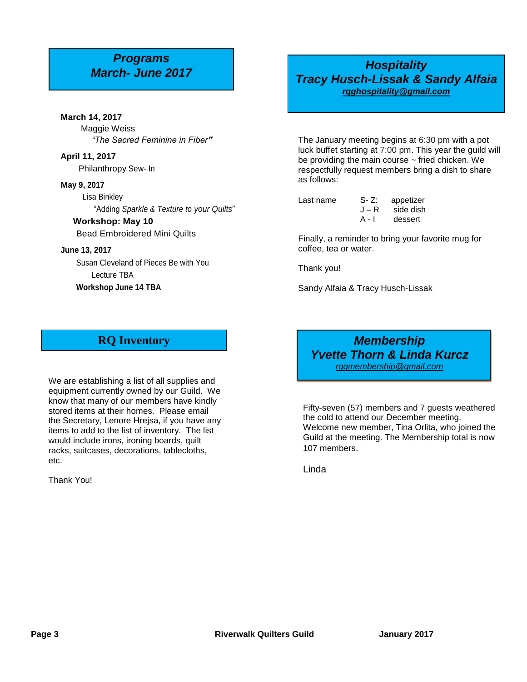# *Programs*

#### **March 14, 2017** Maggie Weiss

*"The Sacred Feminine in Fiber"*

**April 11, 2017** Philanthropy Sew- In

#### **May 9, 2017**

 Lisa Binkley "Adding *Sparkle & Texture to your Quilts*"

#### **Workshop: May 10**

Bead Embroidered Mini Quilts

#### **June 13, 2017**

Susan Cleveland of Pieces Be with You Lecture TBA **Workshop June 14 TBA**

## *March- June 2017 Hospitality Tracy Husch-Lissak & Sandy Alfaia [rqghospitality@gmail.com](file:///C:/Users/Sandra/Documents/RQG%20Newsletter/rqghospitality@gmail.com)*

The January meeting begins at 6:30 pm with a pot luck buffet starting at 7:00 pm. This year the guild will be providing the main course  $\sim$  fried chicken. We respectfully request members bring a dish to share as follows:

Last name S-Z: appetizer<br>J - R side dish J – R side dish dessert

Finally, a reminder to bring your favorite mug for coffee, tea or water.

Thank you!

Sandy Alfaia & Tracy Husch-Lissak

## **RQ Inventory**

We are establishing a list of all supplies and equipment currently owned by our Guild. We know that many of our members have kindly stored items at their homes. Please email the Secretary, Lenore Hrejsa, if you have any items to add to the list of inventory. The list would include irons, ironing boards, quilt racks, suitcases, decorations, tablecloths, etc.

Thank You!

*Membership Yvette Thorn & Linda Kurcz [rqgmembership@gmail.com](mailto:rqgmembership@gmail.com)*

Fifty-seven (57) members and 7 guests weathered the cold to attend our December meeting. Welcome new member, Tina Orlita, who joined the Guild at the meeting. The Membership total is now 107 members.

Linda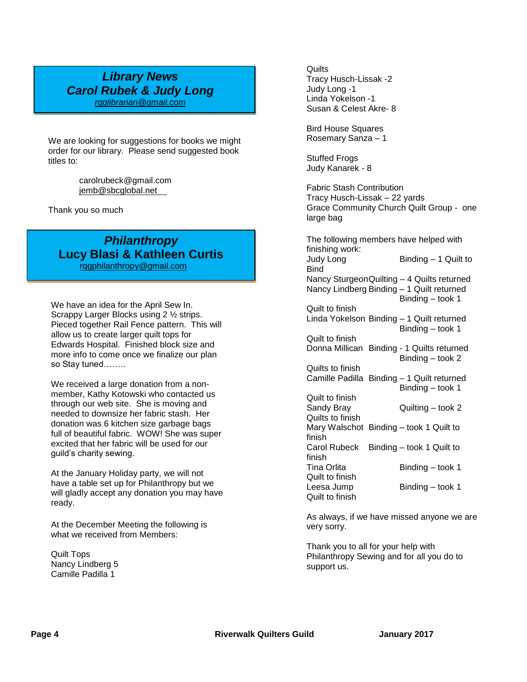#### *Library News Carol Rubek & Judy Long [rqglibrarian@gmail.com](mailto:rqglibrarian@gmail.com)*

We are looking for suggestions for books we might order for our library. Please send suggested book titles to:

> carolrubeck@gmail.com [jemb@sbcglobal.net](mailto:jemb@sbcglobal.net)

Thank you so much

## *Philanthropy* **Lucy Blasi & Kathleen Curtis**

 [rqgphilanthropy@gmail.com](mailto:rqgphilanthropy@gmail.com) ׇ֬

We have an idea for the April Sew In. Scrappy Larger Blocks using 2 ½ strips. Pieced together Rail Fence pattern. This will allow us to create larger quilt tops for Edwards Hospital. Finished block size and more info to come once we finalize our plan so Stay tuned……..

We received a large donation from a nonmember, Kathy Kotowski who contacted us through our web site. She is moving and needed to downsize her fabric stash. Her donation was 6 kitchen size garbage bags full of beautiful fabric. WOW! She was super excited that her fabric will be used for our guild's charity sewing.

At the January Holiday party, we will not have a table set up for Philanthropy but we will gladly accept any donation you may have ready.

At the December Meeting the following is what we received from Members:

Quilt Tops Nancy Lindberg 5 Camille Padilla 1

**Quilts** Tracy Husch-Lissak -2 Judy Long -1 Linda Yokelson -1 Susan & Celest Akre- 8

Bird House Squares Rosemary Sanza – 1

Stuffed Frogs Judy Kanarek - 8

Fabric Stash Contribution Tracy Husch-Lissak – 22 yards Grace Community Church Quilt Group - one large bag

The following members have helped with finishing work: Judy Long Binding – 1 Quilt to Bind Nancy SturgeonQuilting – 4 Quilts returned Nancy Lindberg Binding – 1 Quilt returned Binding – took 1 Quilt to finish Linda Yokelson Binding – 1 Quilt returned Binding – took 1 Quilt to finish Donna Millican Binding - 1 Quilts returned Binding – took 2 Quilts to finish Camille Padilla Binding – 1 Quilt returned Binding – took 1 Quilt to finish Sandy Bray Quilting – took 2 Quilts to finish Mary Walschot Binding – took 1 Quilt to finish Carol Rubeck Binding – took 1 Quilt to finish Tina Orlita Binding – took 1 Quilt to finish

Leesa Jump Binding – took 1

As always, if we have missed anyone we are very sorry.

Thank you to all for your help with Philanthropy Sewing and for all you do to support us.

Quilt to finish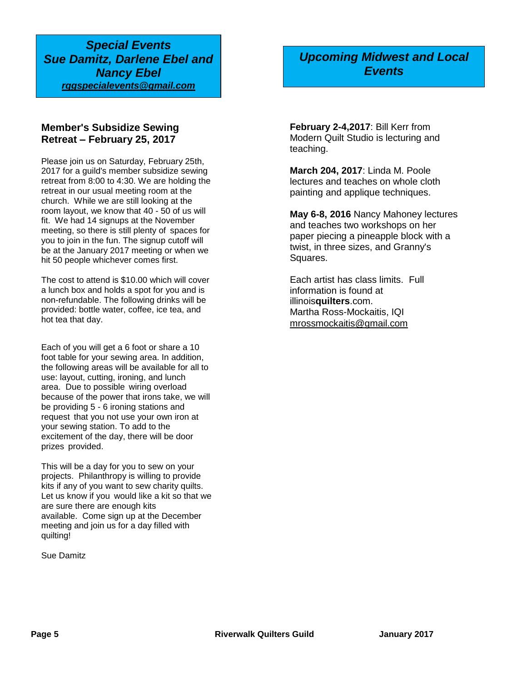*Special Events Sue Damitz, Darlene Ebel and Nancy Ebel rqgspecialevents@gmail.com*

#### **Member's Subsidize Sewing Retreat – February 25, 2017**

Please join us on Saturday, February 25th, 2017 for a guild's member subsidize sewing retreat from 8:00 to 4:30. We are holding the retreat in our usual meeting room at the church. While we are still looking at the room layout, we know that 40 - 50 of us will fit. We had 14 signups at the November meeting, so there is still plenty of spaces for you to join in the fun. The signup cutoff will be at the January 2017 meeting or when we hit 50 people whichever comes first.

The cost to attend is \$10.00 which will cover a lunch box and holds a spot for you and is non-refundable. The following drinks will be provided: bottle water, coffee, ice tea, and hot tea that day.

Each of you will get a 6 foot or share a 10 foot table for your sewing area. In addition, the following areas will be available for all to use: layout, cutting, ironing, and lunch area. Due to possible wiring overload because of the power that irons take, we will be providing 5 - 6 ironing stations and request that you not use your own iron at your sewing station. To add to the excitement of the day, there will be door prizes provided.

This will be a day for you to sew on your projects. Philanthropy is willing to provide kits if any of you want to sew charity quilts. Let us know if you would like a kit so that we are sure there are enough kits available. Come sign up at the December meeting and join us for a day filled with quilting!

Sue Damitz

## *Upcoming Midwest and Local Events*

**February 2-4,2017**: Bill Kerr from Modern Quilt Studio is lecturing and teaching.

**March 204, 2017**: Linda M. Poole lectures and teaches on whole cloth painting and applique techniques.

**May 6-8, 2016** Nancy Mahoney lectures and teaches two workshops on her paper piecing a pineapple block with a twist, in three sizes, and Granny's Squares.

Each artist has class limits. Full information is found at illinois**quilters**.com. Martha Ross-Mockaitis, IQI [mrossmockaitis@gmail.com](mailto:mrossmockaitis@gmail.com)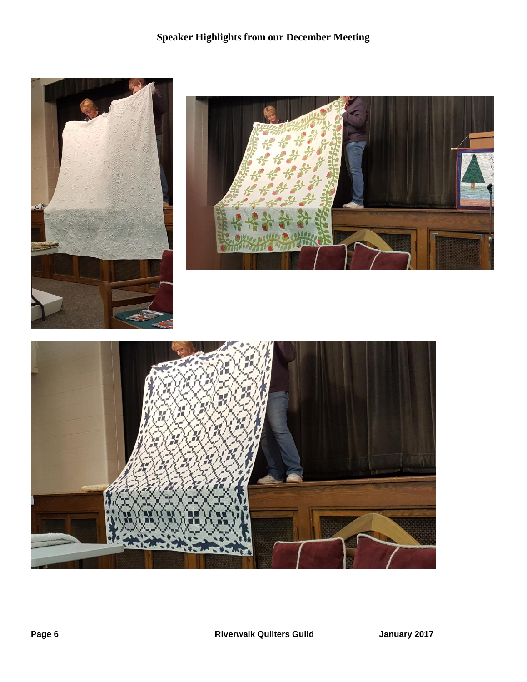## **Speaker Highlights from our December Meeting**